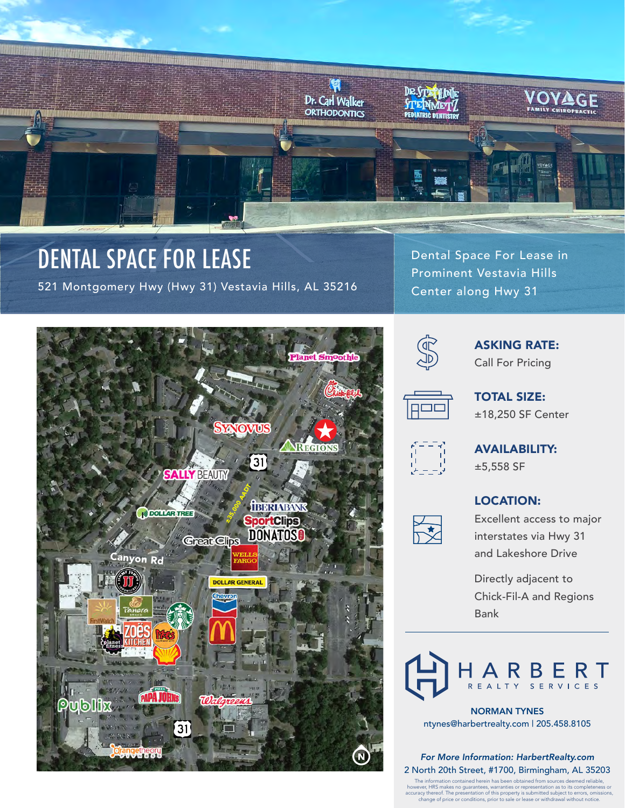

# DENTAL SPACE FOR LEASE

521 Montgomery Hwy (Hwy 31) Vestavia Hills, AL 35216

Dental Space For Lease in Prominent Vestavia Hills Center along Hwy 31





ASKING RATE: Call For Pricing



TOTAL SIZE: ±18,250 SF Center



AVAILABILITY: ±5,558 SF

### LOCATION:



Excellent access to major interstates via Hwy 31 and Lakeshore Drive

Directly adjacent to Chick-Fil-A and Regions Bank

RBERT R E A L T Y

NORMAN TYNES ntynes@harbertrealty.com | 205.458.8105

#### *For More Information: HarbertRealty.com* 2 North 20th Street, #1700, Birmingham, AL 35203

The information contained herein has been obtained from sources deemed reliable,<br>however, HRS makes no guarantees, warranties or representation as to its completeness or<br>accuracy thereof. The presentation of this property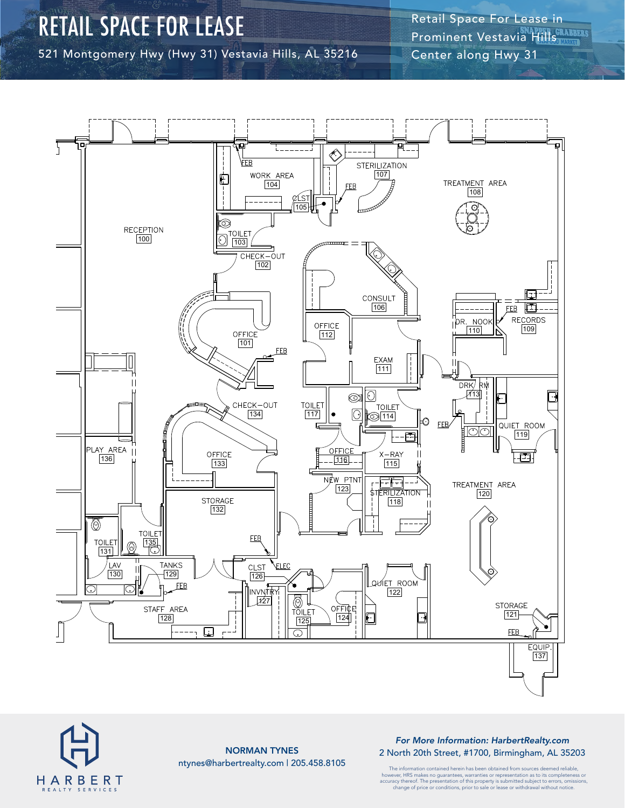### RETAIL SPACE FOR LEASE

521 Montgomery Hwy (Hwy 31) Vestavia Hills, AL 35216

Retail Space For Lease in Prominent Vestavia Hills Center along Hwy 31





NORMAN TYNES ntynes@harbertrealty.com | 205.458.8105

*For More Information: HarbertRealty.com* 2 North 20th Street, #1700, Birmingham, AL 35203

The information contained herein has been obtained from sources deemed reliable, however, HRS makes no guarantees, warranties or representation as to its completeness or<br>accuracy thereof. The presentation of this property is submitted subject to errors, omissions,<br>change of price or conditions, prior t